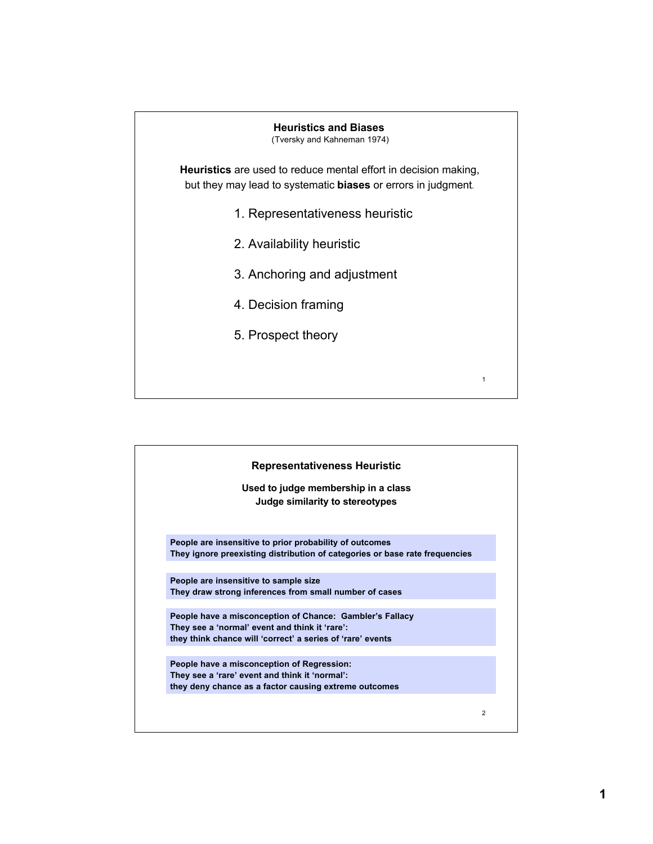# **Heuristics and Biases**

(Tversky and Kahneman 1974)

**Heuristics** are used to reduce mental effort in decision making, but they may lead to systematic **biases** or errors in judgment.

- 1. Representativeness heuristic
- 2. Availability heuristic
- 3. Anchoring and adjustment

1

- 4. Decision framing
- 5. Prospect theory

| <b>Representativeness Heuristic</b>                                                                                                                                      |                |
|--------------------------------------------------------------------------------------------------------------------------------------------------------------------------|----------------|
| Used to judge membership in a class<br>Judge similarity to stereotypes                                                                                                   |                |
| People are insensitive to prior probability of outcomes<br>They ignore preexisting distribution of categories or base rate frequencies                                   |                |
| People are insensitive to sample size<br>They draw strong inferences from small number of cases                                                                          |                |
| People have a misconception of Chance: Gambler's Fallacy<br>They see a 'normal' event and think it 'rare':<br>they think chance will 'correct' a series of 'rare' events |                |
| People have a misconception of Regression:<br>They see a 'rare' event and think it 'normal':<br>they deny chance as a factor causing extreme outcomes                    |                |
|                                                                                                                                                                          | $\overline{2}$ |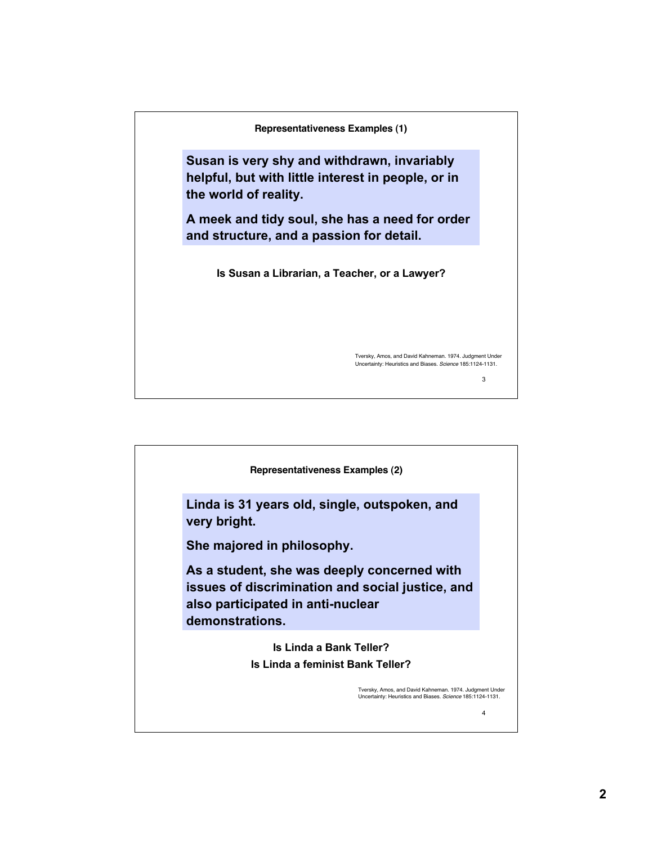

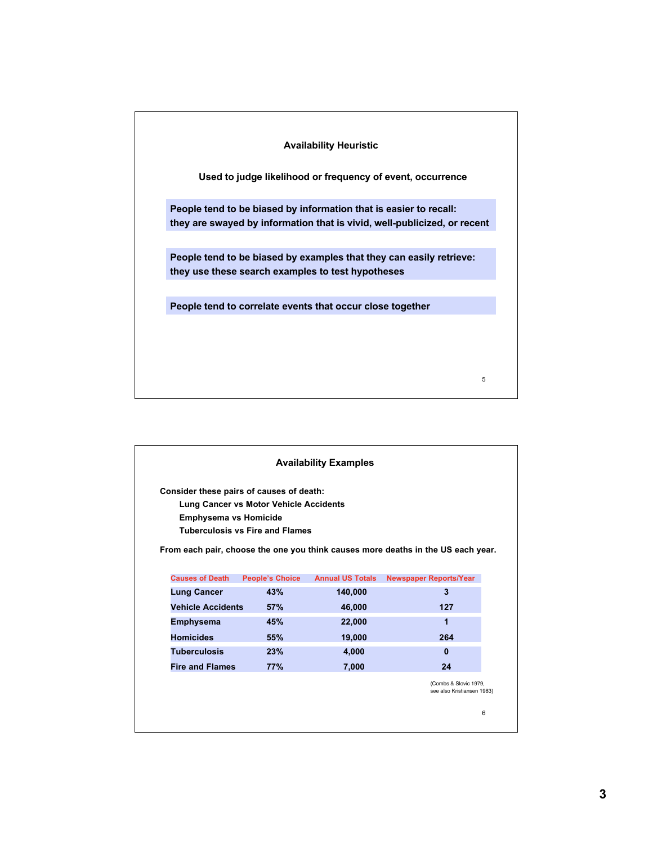### **Availability Heuristic**

**Used to judge likelihood or frequency of event, occurrence**

**People tend to be biased by information that is easier to recall: they are swayed by information that is vivid, well-publicized, or recent**

**People tend to be biased by examples that they can easily retrieve: they use these search examples to test hypotheses**

5

**People tend to correlate events that occur close together**

6 **Causes of Death People's Choice Annual US Totals Newspaper Reports/Year Lung Cancer 43% 140,000 3 Vehicle Accidents 57% 46,000 127 Consider these pairs of causes of death: Lung Cancer vs Motor Vehicle Accidents Emphysema vs Homicide Tuberculosis vs Fire and Flames From each pair, choose the one you think causes more deaths in the US each year.** (Combs & Slovic 1979, see also Kristiansen 1983) **Availability Examples Emphysema 45% 22,000 1 Homicides 55% 19,000 264 Tuberculosis 23% 4,000 0 Fire and Flames 77% 7,000 24**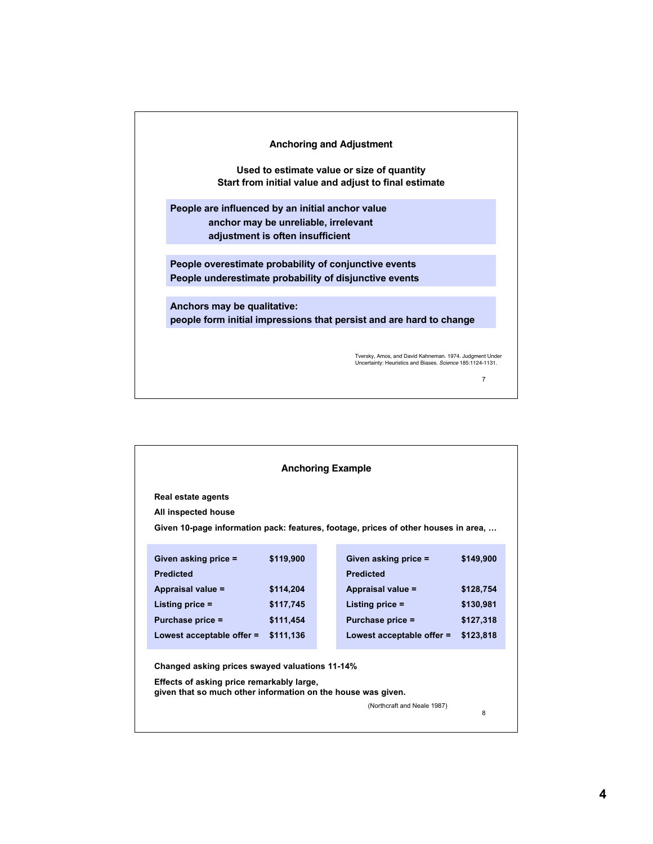

| <b>Anchoring Example</b>                                                                                  |           |  |                                                                                    |           |  |
|-----------------------------------------------------------------------------------------------------------|-----------|--|------------------------------------------------------------------------------------|-----------|--|
| Real estate agents                                                                                        |           |  |                                                                                    |           |  |
| All inspected house                                                                                       |           |  |                                                                                    |           |  |
|                                                                                                           |           |  | Given 10-page information pack: features, footage, prices of other houses in area, |           |  |
|                                                                                                           |           |  |                                                                                    |           |  |
| Given asking price =                                                                                      | \$119,900 |  | Given asking price =                                                               | \$149,900 |  |
| <b>Predicted</b>                                                                                          |           |  | <b>Predicted</b>                                                                   |           |  |
| Appraisal value =                                                                                         | \$114,204 |  | Appraisal value =                                                                  | \$128,754 |  |
| Listing price $=$                                                                                         | \$117,745 |  | Listing price $=$                                                                  | \$130,981 |  |
| Purchase price =                                                                                          | \$111,454 |  | Purchase price =                                                                   | \$127,318 |  |
| Lowest acceptable offer $=$                                                                               | \$111,136 |  | Lowest acceptable offer =                                                          | \$123,818 |  |
|                                                                                                           |           |  |                                                                                    |           |  |
| Changed asking prices swayed valuations 11-14%                                                            |           |  |                                                                                    |           |  |
| Effects of asking price remarkably large,<br>given that so much other information on the house was given. |           |  |                                                                                    |           |  |
|                                                                                                           |           |  | (Northcraft and Neale 1987)                                                        |           |  |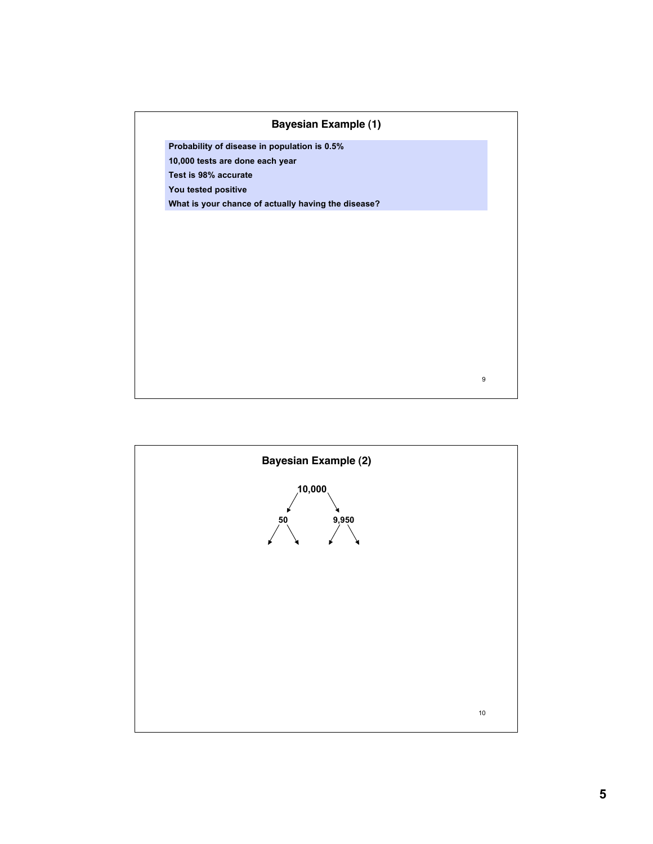

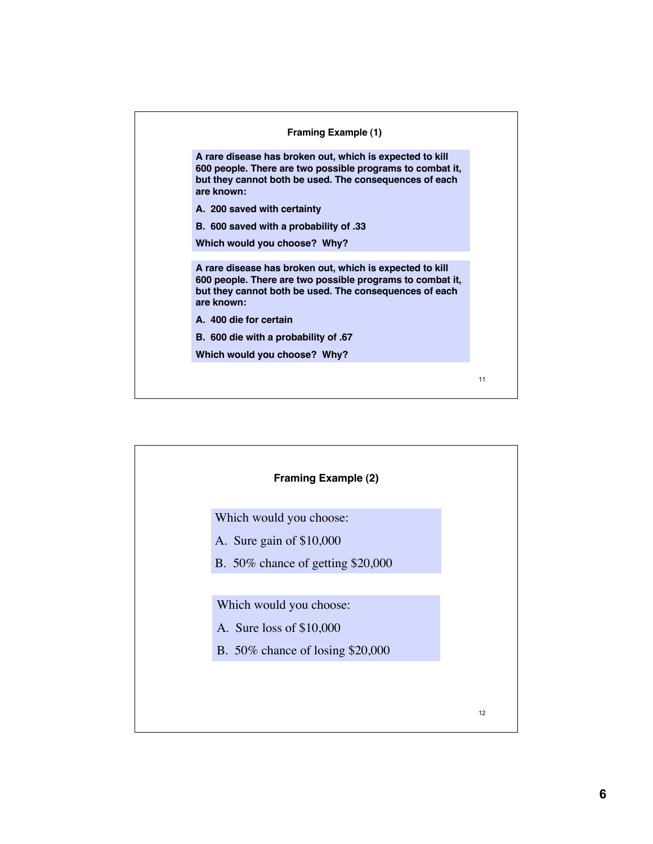

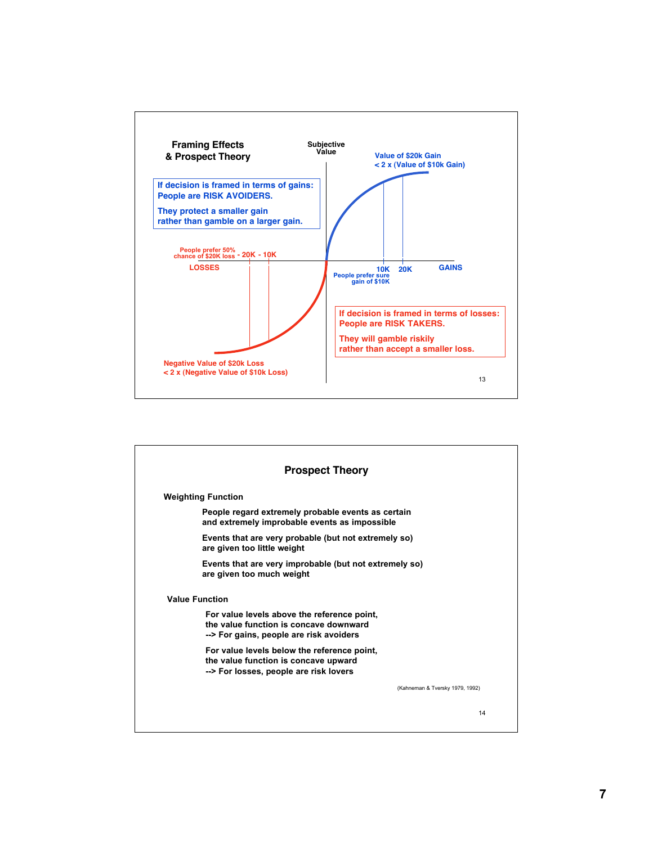

| <b>Prospect Theory</b> |                                                                                                                                  |                                 |  |
|------------------------|----------------------------------------------------------------------------------------------------------------------------------|---------------------------------|--|
|                        | <b>Weighting Function</b>                                                                                                        |                                 |  |
|                        | People regard extremely probable events as certain<br>and extremely improbable events as impossible                              |                                 |  |
|                        | Events that are very probable (but not extremely so)<br>are given too little weight                                              |                                 |  |
|                        | Events that are very improbable (but not extremely so)<br>are given too much weight                                              |                                 |  |
|                        | <b>Value Function</b>                                                                                                            |                                 |  |
|                        | For value levels above the reference point,<br>the value function is concave downward<br>--> For gains, people are risk avoiders |                                 |  |
|                        | For value levels below the reference point,<br>the value function is concave upward<br>--> For losses, people are risk lovers    |                                 |  |
|                        |                                                                                                                                  | (Kahneman & Tversky 1979, 1992) |  |
|                        |                                                                                                                                  | 14                              |  |

**7**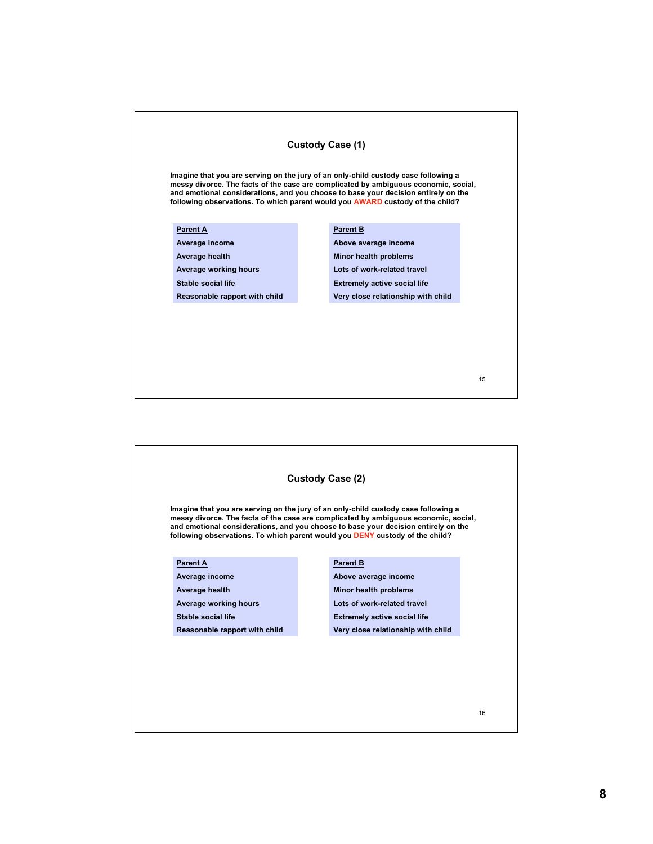## **Custody Case (1)**

**Imagine that you are serving on the jury of an only-child custody case following a messy divorce. The facts of the case are complicated by ambiguous economic, social, and emotional considerations, and you choose to base your decision entirely on the following observations. To which parent would you AWARD custody of the child?**

#### **Parent A**

**Average income**

**Average health**

**Average working hours**

**Stable social life**

**Reasonable rapport with child**

#### **Parent B**

**Above average income Minor health problems Lots of work-related travel Extremely active social life Very close relationship with child**

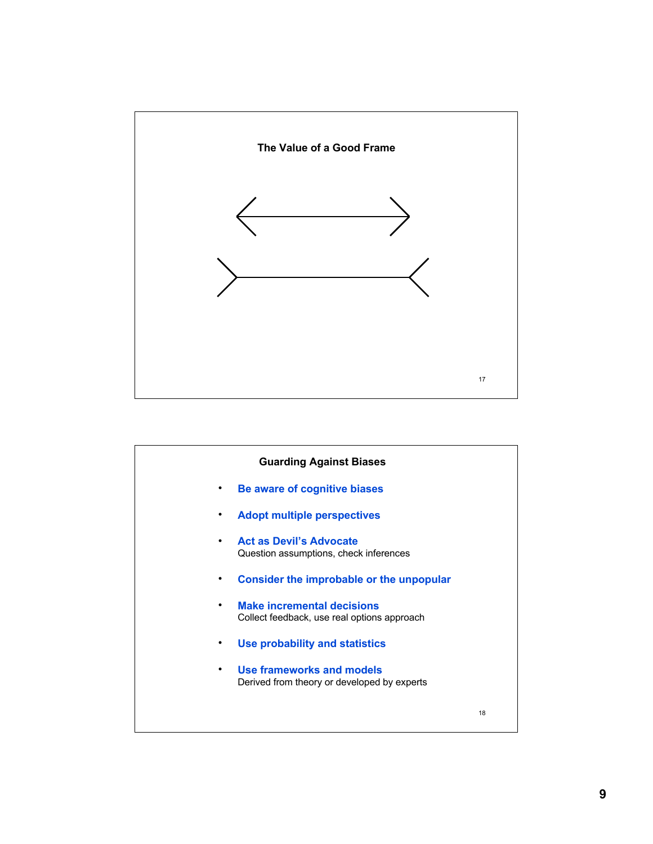